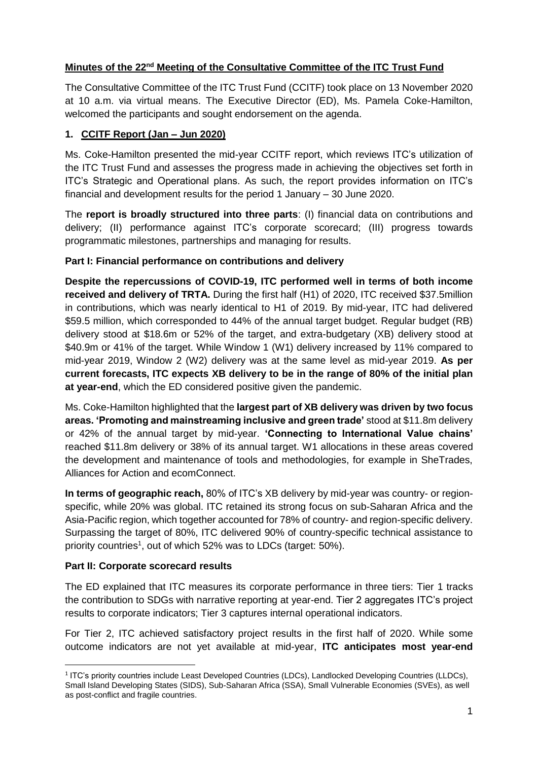# **Minutes of the 22nd Meeting of the Consultative Committee of the ITC Trust Fund**

The Consultative Committee of the ITC Trust Fund (CCITF) took place on 13 November 2020 at 10 a.m. via virtual means. The Executive Director (ED), Ms. Pamela Coke-Hamilton, welcomed the participants and sought endorsement on the agenda.

## **1. CCITF Report (Jan – Jun 2020)**

Ms. Coke-Hamilton presented the mid-year CCITF report, which reviews ITC's utilization of the ITC Trust Fund and assesses the progress made in achieving the objectives set forth in ITC's Strategic and Operational plans. As such, the report provides information on ITC's financial and development results for the period 1 January – 30 June 2020.

The **report is broadly structured into three parts**: (I) financial data on contributions and delivery; (II) performance against ITC's corporate scorecard; (III) progress towards programmatic milestones, partnerships and managing for results.

### **Part I: Financial performance on contributions and delivery**

**Despite the repercussions of COVID-19, ITC performed well in terms of both income received and delivery of TRTA.** During the first half (H1) of 2020, ITC received \$37.5million in contributions, which was nearly identical to H1 of 2019. By mid-year, ITC had delivered \$59.5 million, which corresponded to 44% of the annual target budget. Regular budget (RB) delivery stood at \$18.6m or 52% of the target, and extra-budgetary (XB) delivery stood at \$40.9m or 41% of the target. While Window 1 (W1) delivery increased by 11% compared to mid-year 2019, Window 2 (W2) delivery was at the same level as mid-year 2019. **As per current forecasts, ITC expects XB delivery to be in the range of 80% of the initial plan at year-end**, which the ED considered positive given the pandemic.

Ms. Coke-Hamilton highlighted that the **largest part of XB delivery was driven by two focus areas. 'Promoting and mainstreaming inclusive and green trade'** stood at \$11.8m delivery or 42% of the annual target by mid-year. **'Connecting to International Value chains'** reached \$11.8m delivery or 38% of its annual target. W1 allocations in these areas covered the development and maintenance of tools and methodologies, for example in SheTrades, Alliances for Action and ecomConnect.

**In terms of geographic reach,** 80% of ITC's XB delivery by mid-year was country- or regionspecific, while 20% was global. ITC retained its strong focus on sub-Saharan Africa and the Asia-Pacific region, which together accounted for 78% of country- and region-specific delivery. Surpassing the target of 80%, ITC delivered 90% of country-specific technical assistance to priority countries<sup>1</sup>, out of which 52% was to LDCs (target: 50%).

### **Part II: Corporate scorecard results**

**.** 

The ED explained that ITC measures its corporate performance in three tiers: Tier 1 tracks the contribution to SDGs with narrative reporting at year-end. Tier 2 aggregates ITC's project results to corporate indicators; Tier 3 captures internal operational indicators.

For Tier 2, ITC achieved satisfactory project results in the first half of 2020. While some outcome indicators are not yet available at mid-year, **ITC anticipates most year-end** 

<sup>&</sup>lt;sup>1</sup> ITC's priority countries include Least Developed Countries (LDCs), Landlocked Developing Countries (LLDCs), Small Island Developing States (SIDS), Sub-Saharan Africa (SSA), Small Vulnerable Economies (SVEs), as well as post-conflict and fragile countries.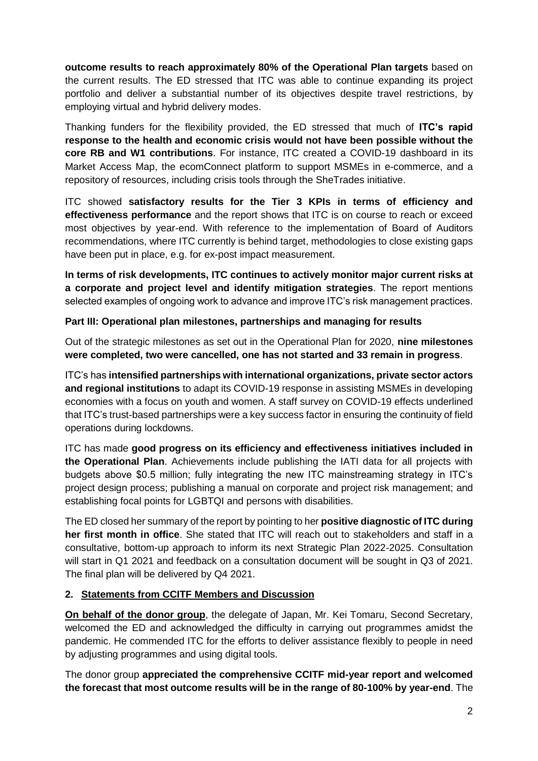**outcome results to reach approximately 80% of the Operational Plan targets** based on the current results. The ED stressed that ITC was able to continue expanding its project portfolio and deliver a substantial number of its objectives despite travel restrictions, by employing virtual and hybrid delivery modes.

Thanking funders for the flexibility provided, the ED stressed that much of **ITC's rapid response to the health and economic crisis would not have been possible without the core RB and W1 contributions**. For instance, ITC created a COVID-19 dashboard in its Market Access Map, the [ecomConnect](https://ecomconnect.org/) platform to support MSMEs in e-commerce, and a repository of resources, including crisis tools through the SheTrades initiative.

ITC showed **satisfactory results for the Tier 3 KPIs in terms of efficiency and effectiveness performance** and the report shows that ITC is on course to reach or exceed most objectives by year-end. With reference to the implementation of Board of Auditors recommendations, where ITC currently is behind target, methodologies to close existing gaps have been put in place, e.g. for ex-post impact measurement.

**In terms of risk developments, ITC continues to actively monitor major current risks at a corporate and project level and identify mitigation strategies**. The report mentions selected examples of ongoing work to advance and improve ITC's risk management practices.

### **Part III: Operational plan milestones, partnerships and managing for results**

Out of the strategic milestones as set out in the Operational Plan for 2020, **nine milestones were completed, two were cancelled, one has not started and 33 remain in progress**.

ITC's has **intensified partnerships with international organizations, private sector actors and regional institutions** to adapt its COVID-19 response in assisting MSMEs in developing economies with a focus on youth and women. A staff survey on COVID-19 effects underlined that ITC's trust-based partnerships were a key success factor in ensuring the continuity of field operations during lockdowns.

ITC has made **good progress on its efficiency and effectiveness initiatives included in the Operational Plan**. Achievements include publishing the IATI data for all projects with budgets above \$0.5 million; fully integrating the new ITC mainstreaming strategy in ITC's project design process; publishing a manual on corporate and project risk management; and establishing focal points for LGBTQI and persons with disabilities.

The ED closed her summary of the report by pointing to her **positive diagnostic of ITC during her first month in office**. She stated that ITC will reach out to stakeholders and staff in a consultative, bottom-up approach to inform its next Strategic Plan 2022-2025. Consultation will start in Q1 2021 and feedback on a consultation document will be sought in Q3 of 2021. The final plan will be delivered by Q4 2021.

### **2. Statements from CCITF Members and Discussion**

**On behalf of the donor group**, the delegate of Japan, Mr. Kei Tomaru, Second Secretary, welcomed the ED and acknowledged the difficulty in carrying out programmes amidst the pandemic. He commended ITC for the efforts to deliver assistance flexibly to people in need by adjusting programmes and using digital tools.

The donor group **appreciated the comprehensive CCITF mid-year report and welcomed the forecast that most outcome results will be in the range of 80-100% by year-end**. The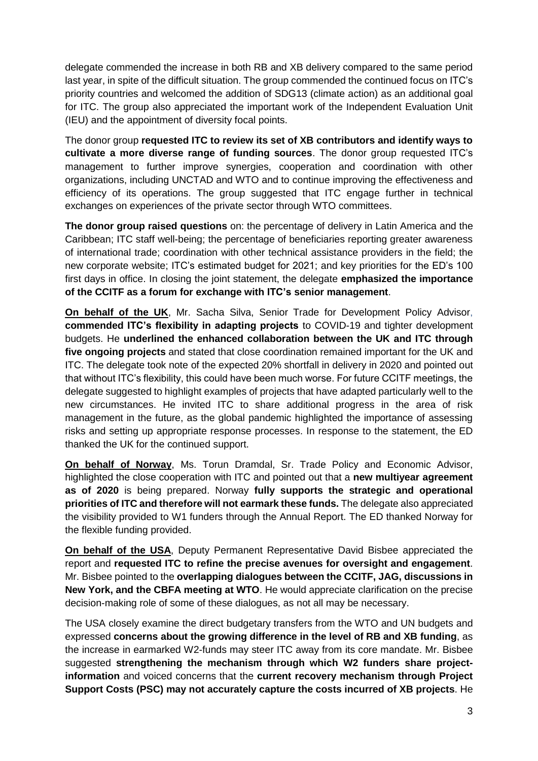delegate commended the increase in both RB and XB delivery compared to the same period last year, in spite of the difficult situation. The group commended the continued focus on ITC's priority countries and welcomed the addition of SDG13 (climate action) as an additional goal for ITC. The group also appreciated the important work of the Independent Evaluation Unit (IEU) and the appointment of diversity focal points.

The donor group **requested ITC to review its set of XB contributors and identify ways to cultivate a more diverse range of funding sources**. The donor group requested ITC's management to further improve synergies, cooperation and coordination with other organizations, including UNCTAD and WTO and to continue improving the effectiveness and efficiency of its operations. The group suggested that ITC engage further in technical exchanges on experiences of the private sector through WTO committees.

**The donor group raised questions** on: the percentage of delivery in Latin America and the Caribbean; ITC staff well-being; the percentage of beneficiaries reporting greater awareness of international trade; coordination with other technical assistance providers in the field; the new corporate website; ITC's estimated budget for 2021; and key priorities for the ED's 100 first days in office. In closing the joint statement, the delegate **emphasized the importance of the CCITF as a forum for exchange with ITC's senior management**.

**On behalf of the UK**, Mr. Sacha Silva, Senior Trade for Development Policy Advisor, **commended ITC's flexibility in adapting projects** to COVID-19 and tighter development budgets. He **underlined the enhanced collaboration between the UK and ITC through five ongoing projects** and stated that close coordination remained important for the UK and ITC. The delegate took note of the expected 20% shortfall in delivery in 2020 and pointed out that without ITC's flexibility, this could have been much worse. For future CCITF meetings, the delegate suggested to highlight examples of projects that have adapted particularly well to the new circumstances. He invited ITC to share additional progress in the area of risk management in the future, as the global pandemic highlighted the importance of assessing risks and setting up appropriate response processes. In response to the statement, the ED thanked the UK for the continued support.

**On behalf of Norway**, Ms. Torun Dramdal, Sr. Trade Policy and Economic Advisor, highlighted the close cooperation with ITC and pointed out that a **new multiyear agreement as of 2020** is being prepared. Norway **fully supports the strategic and operational priorities of ITC and therefore will not earmark these funds.** The delegate also appreciated the visibility provided to W1 funders through the Annual Report. The ED thanked Norway for the flexible funding provided.

**On behalf of the USA**, Deputy Permanent Representative David Bisbee appreciated the report and **requested ITC to refine the precise avenues for oversight and engagement**. Mr. Bisbee pointed to the **overlapping dialogues between the CCITF, JAG, discussions in New York, and the CBFA meeting at WTO**. He would appreciate clarification on the precise decision-making role of some of these dialogues, as not all may be necessary.

The USA closely examine the direct budgetary transfers from the WTO and UN budgets and expressed **concerns about the growing difference in the level of RB and XB funding**, as the increase in earmarked W2-funds may steer ITC away from its core mandate. Mr. Bisbee suggested **strengthening the mechanism through which W2 funders share projectinformation** and voiced concerns that the **current recovery mechanism through Project Support Costs (PSC) may not accurately capture the costs incurred of XB projects**. He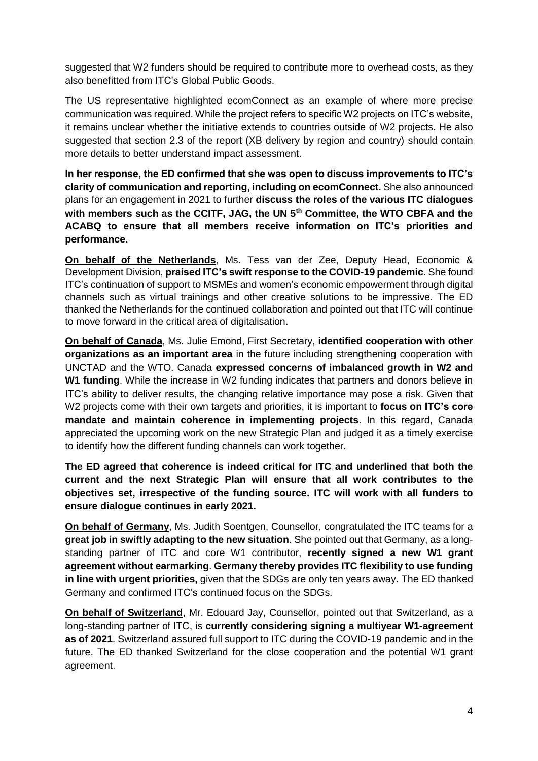suggested that W2 funders should be required to contribute more to overhead costs, as they also benefitted from ITC's Global Public Goods.

The US representative highlighted ecomConnect as an example of where more precise communication was required. While the project refers to specific W2 projects on ITC's website, it remains unclear whether the initiative extends to countries outside of W2 projects. He also suggested that section 2.3 of the report (XB delivery by region and country) should contain more details to better understand impact assessment.

**In her response, the ED confirmed that she was open to discuss improvements to ITC's clarity of communication and reporting, including on ecomConnect.** She also announced plans for an engagement in 2021 to further **discuss the roles of the various ITC dialogues with members such as the CCITF, JAG, the UN 5th Committee, the WTO CBFA and the ACABQ to ensure that all members receive information on ITC's priorities and performance.** 

**On behalf of the Netherlands**, Ms. Tess van der Zee, Deputy Head, Economic & Development Division, **praised ITC's swift response to the COVID-19 pandemic**. She found ITC's continuation of support to MSMEs and women's economic empowerment through digital channels such as virtual trainings and other creative solutions to be impressive. The ED thanked the Netherlands for the continued collaboration and pointed out that ITC will continue to move forward in the critical area of digitalisation.

**On behalf of Canada**, Ms. Julie Emond, First Secretary, **identified cooperation with other organizations as an important area** in the future including strengthening cooperation with UNCTAD and the WTO. Canada **expressed concerns of imbalanced growth in W2 and W1 funding**. While the increase in W2 funding indicates that partners and donors believe in ITC's ability to deliver results, the changing relative importance may pose a risk. Given that W2 projects come with their own targets and priorities, it is important to **focus on ITC's core mandate and maintain coherence in implementing projects**. In this regard, Canada appreciated the upcoming work on the new Strategic Plan and judged it as a timely exercise to identify how the different funding channels can work together.

**The ED agreed that coherence is indeed critical for ITC and underlined that both the current and the next Strategic Plan will ensure that all work contributes to the objectives set, irrespective of the funding source. ITC will work with all funders to ensure dialogue continues in early 2021.**

**On behalf of Germany**, Ms. Judith Soentgen, Counsellor, congratulated the ITC teams for a **great job in swiftly adapting to the new situation**. She pointed out that Germany, as a longstanding partner of ITC and core W1 contributor, **recently signed a new W1 grant agreement without earmarking**. **Germany thereby provides ITC flexibility to use funding in line with urgent priorities,** given that the SDGs are only ten years away. The ED thanked Germany and confirmed ITC's continued focus on the SDGs.

**On behalf of Switzerland**, Mr. Edouard Jay, Counsellor, pointed out that Switzerland, as a long-standing partner of ITC, is **currently considering signing a multiyear W1-agreement as of 2021**. Switzerland assured full support to ITC during the COVID-19 pandemic and in the future. The ED thanked Switzerland for the close cooperation and the potential W1 grant agreement.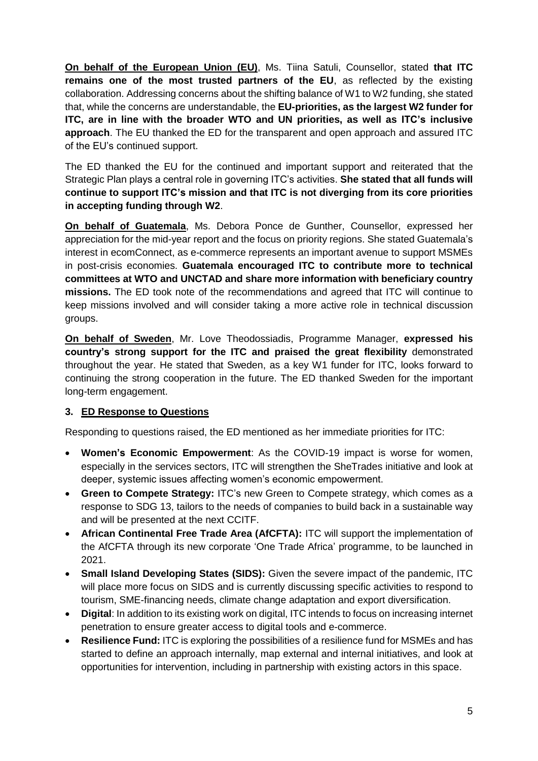**On behalf of the European Union (EU)**, Ms. Tiina Satuli, Counsellor, stated **that ITC remains one of the most trusted partners of the EU**, as reflected by the existing collaboration. Addressing concerns about the shifting balance of W1 to W2 funding, she stated that, while the concerns are understandable, the **EU-priorities, as the largest W2 funder for ITC, are in line with the broader WTO and UN priorities, as well as ITC's inclusive approach**. The EU thanked the ED for the transparent and open approach and assured ITC of the EU's continued support.

The ED thanked the EU for the continued and important support and reiterated that the Strategic Plan plays a central role in governing ITC's activities. **She stated that all funds will continue to support ITC's mission and that ITC is not diverging from its core priorities in accepting funding through W2**.

**On behalf of Guatemala**, Ms. Debora Ponce de Gunther, Counsellor, expressed her appreciation for the mid-year report and the focus on priority regions. She stated Guatemala's interest in ecomConnect, as e-commerce represents an important avenue to support MSMEs in post-crisis economies. **Guatemala encouraged ITC to contribute more to technical committees at WTO and UNCTAD and share more information with beneficiary country missions.** The ED took note of the recommendations and agreed that ITC will continue to keep missions involved and will consider taking a more active role in technical discussion groups.

**On behalf of Sweden**, Mr. Love Theodossiadis, Programme Manager, **expressed his country's strong support for the ITC and praised the great flexibility** demonstrated throughout the year. He stated that Sweden, as a key W1 funder for ITC, looks forward to continuing the strong cooperation in the future. The ED thanked Sweden for the important long-term engagement.

### **3. ED Response to Questions**

Responding to questions raised, the ED mentioned as her immediate priorities for ITC:

- **Women's Economic Empowerment**: As the COVID-19 impact is worse for women, especially in the services sectors, ITC will strengthen the SheTrades initiative and look at deeper, systemic issues affecting women's economic empowerment.
- **Green to Compete Strategy:** ITC's new Green to Compete strategy, which comes as a response to SDG 13, tailors to the needs of companies to build back in a sustainable way and will be presented at the next CCITF.
- **African Continental Free Trade Area (AfCFTA):** ITC will support the implementation of the AfCFTA through its new corporate 'One Trade Africa' programme, to be launched in 2021.
- **Small Island Developing States (SIDS):** Given the severe impact of the pandemic, ITC will place more focus on SIDS and is currently discussing specific activities to respond to tourism, SME-financing needs, climate change adaptation and export diversification.
- **Digital**: In addition to its existing work on digital, ITC intends to focus on increasing internet penetration to ensure greater access to digital tools and e-commerce.
- **Resilience Fund:** ITC is exploring the possibilities of a resilience fund for MSMEs and has started to define an approach internally, map external and internal initiatives, and look at opportunities for intervention, including in partnership with existing actors in this space.